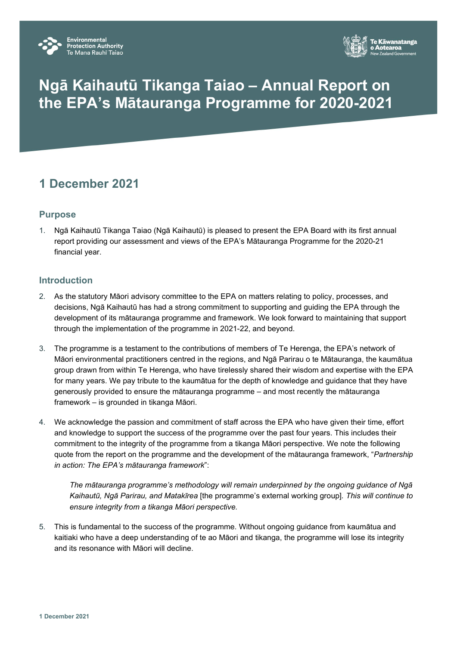



# **Ngā Kaihautū Tikanga Taiao – Annual Report on the EPA's Mātauranga Programme for 2020-2021**

# **1 December 2021**

## **Purpose**

1. Ngā Kaihautū Tikanga Taiao (Ngā Kaihautū) is pleased to present the EPA Board with its first annual report providing our assessment and views of the EPA's Mātauranga Programme for the 2020-21 financial year.

#### **Introduction**

- 2. As the statutory Māori advisory committee to the EPA on matters relating to policy, processes, and decisions, Ngā Kaihautū has had a strong commitment to supporting and guiding the EPA through the development of its mātauranga programme and framework. We look forward to maintaining that support through the implementation of the programme in 2021-22, and beyond.
- 3. The programme is a testament to the contributions of members of Te Herenga, the EPA's network of Māori environmental practitioners centred in the regions, and Ngā Parirau o te Mātauranga, the kaumātua group drawn from within Te Herenga, who have tirelessly shared their wisdom and expertise with the EPA for many years. We pay tribute to the kaumātua for the depth of knowledge and guidance that they have generously provided to ensure the mātauranga programme – and most recently the mātauranga framework – is grounded in tikanga Māori.
- 4. We acknowledge the passion and commitment of staff across the EPA who have given their time, effort and knowledge to support the success of the programme over the past four years. This includes their commitment to the integrity of the programme from a tikanga Māori perspective. We note the following quote from the report on the programme and the development of the mātauranga framework, "*Partnership in action: The EPA's mātauranga framework*":

*The mātauranga programme's methodology will remain underpinned by the ongoing guidance of Ngā Kaihautū, Ngā Parirau, and Matakīrea* [the programme's external working group]*. This will continue to ensure integrity from a tikanga Māori perspective.*

5. This is fundamental to the success of the programme. Without ongoing guidance from kaumātua and kaitiaki who have a deep understanding of te ao Māori and tikanga, the programme will lose its integrity and its resonance with Māori will decline.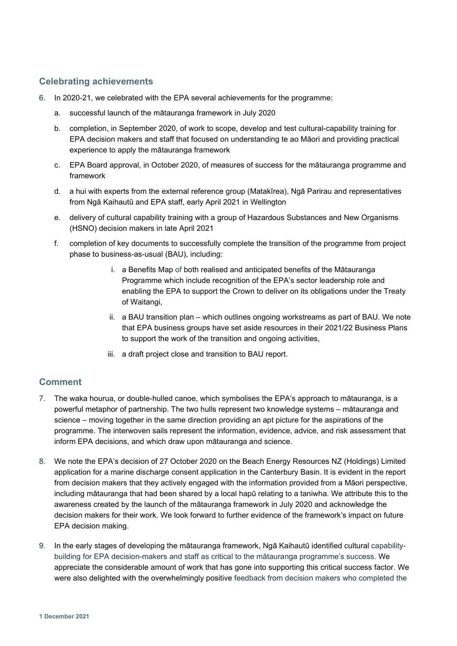#### **Celebrating achievements**

- 6. In 2020-21, we celebrated with the EPA several achievements for the programme:
	- a. successful launch of the mātauranga framework in July 2020
	- b. completion, in September 2020, of work to scope, develop and test cultural-capability training for EPA decision makers and staff that focused on understanding te ao Māori and providing practical experience to apply the mātauranga framework
	- c. EPA Board approval, in October 2020, of measures of success for the mātauranga programme and framework
	- d. a hui with experts from the external reference group (Matakīrea), Ngā Parirau and representatives from Ngā Kaihautū and EPA staff, early April 2021 in Wellington
	- e. delivery of cultural capability training with a group of Hazardous Substances and New Organisms (HSNO) decision makers in late April 2021
	- f. completion of key documents to successfully complete the transition of the programme from project phase to business-as-usual (BAU), including:
		- i. a Benefits Map of both realised and anticipated benefits of the Mātauranga Programme which include recognition of the EPA's sector leadership role and enabling the EPA to support the Crown to deliver on its obligations under the Treaty of Waitangi,
		- ii. a BAU transition plan which outlines ongoing workstreams as part of BAU. We note that EPA business groups have set aside resources in their 2021/22 Business Plans to support the work of the transition and ongoing activities,
		- iii. a draft project close and transition to BAU report.

#### **Comment**

- 7. The waka hourua, or double-hulled canoe, which symbolises the EPA's approach to mātauranga, is a powerful metaphor of partnership. The two hulls represent two knowledge systems – mātauranga and science – moving together in the same direction providing an apt picture for the aspirations of the programme. The interwoven sails represent the information, evidence, advice, and risk assessment that inform EPA decisions, and which draw upon mātauranga and science.
- 8. We note the EPA's decision of 27 October 2020 on the Beach Energy Resources NZ (Holdings) Limited application for a marine discharge consent application in the Canterbury Basin. It is evident in the report from decision makers that they actively engaged with the information provided from a Māori perspective, including mātauranga that had been shared by a local hapū relating to a taniwha. We attribute this to the awareness created by the launch of the mātauranga framework in July 2020 and acknowledge the decision makers for their work. We look forward to further evidence of the framework's impact on future EPA decision making.
- 9. In the early stages of developing the mātauranga framework, Ngā Kaihautū identified cultural capabilitybuilding for EPA decision-makers and staff as critical to the mātauranga programme's success. We appreciate the considerable amount of work that has gone into supporting this critical success factor. We were also delighted with the overwhelmingly positive feedback from decision makers who completed the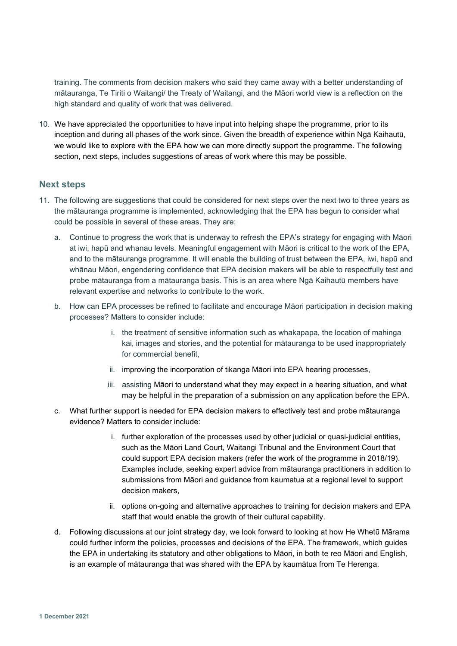training. The comments from decision makers who said they came away with a better understanding of mātauranga, Te Tiriti o Waitangi/ the Treaty of Waitangi, and the Māori world view is a reflection on the high standard and quality of work that was delivered.

10. We have appreciated the opportunities to have input into helping shape the programme, prior to its inception and during all phases of the work since. Given the breadth of experience within Ngā Kaihautū, we would like to explore with the EPA how we can more directly support the programme. The following section, next steps, includes suggestions of areas of work where this may be possible.

#### **Next steps**

- 11. The following are suggestions that could be considered for next steps over the next two to three years as the mātauranga programme is implemented, acknowledging that the EPA has begun to consider what could be possible in several of these areas. They are:
	- a. Continue to progress the work that is underway to refresh the EPA's strategy for engaging with Māori at iwi, hapū and whanau levels. Meaningful engagement with Māori is critical to the work of the EPA, and to the mātauranga programme. It will enable the building of trust between the EPA, iwi, hapū and whānau Māori, engendering confidence that EPA decision makers will be able to respectfully test and probe mātauranga from a mātauranga basis. This is an area where Ngā Kaihautū members have relevant expertise and networks to contribute to the work.
	- b. How can EPA processes be refined to facilitate and encourage Māori participation in decision making processes? Matters to consider include:
		- i. the treatment of sensitive information such as whakapapa, the location of mahinga kai, images and stories, and the potential for mātauranga to be used inappropriately for commercial benefit,
		- ii. improving the incorporation of tikanga Māori into EPA hearing processes,
		- iii. assisting Māori to understand what they may expect in a hearing situation, and what may be helpful in the preparation of a submission on any application before the EPA.
	- c. What further support is needed for EPA decision makers to effectively test and probe mātauranga evidence? Matters to consider include:
		- i. further exploration of the processes used by other judicial or quasi-judicial entities, such as the Māori Land Court, Waitangi Tribunal and the Environment Court that could support EPA decision makers (refer the work of the programme in 2018/19). Examples include, seeking expert advice from mātauranga practitioners in addition to submissions from Māori and guidance from kaumatua at a regional level to support decision makers,
		- ii. options on-going and alternative approaches to training for decision makers and EPA staff that would enable the growth of their cultural capability.
	- d. Following discussions at our joint strategy day, we look forward to looking at how He Whetū Mārama could further inform the policies, processes and decisions of the EPA. The framework, which guides the EPA in undertaking its statutory and other obligations to Māori, in both te reo Māori and English, is an example of mātauranga that was shared with the EPA by kaumātua from Te Herenga.